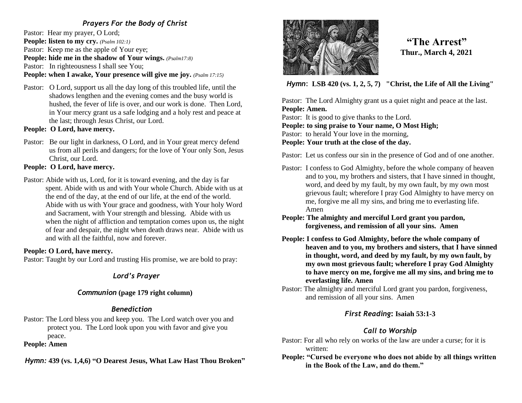## *Prayers For the Body of Christ*

Pastor: Hear my prayer, O Lord; **People: listen to my cry.** *(Psalm 102:1)* Pastor: Keep me as the apple of Your eye; **People: hide me in the shadow of Your wings.** *(Psalm17:8)* Pastor: In righteousness I shall see You;

## **People: when I awake, Your presence will give me joy.** *(Psalm 17:15)*

Pastor: O Lord, support us all the day long of this troubled life, until the shadows lengthen and the evening comes and the busy world is hushed, the fever of life is over, and our work is done. Then Lord, in Your mercy grant us a safe lodging and a holy rest and peace at the last; through Jesus Christ, our Lord.

**People: O Lord, have mercy.**

Pastor: Be our light in darkness, O Lord, and in Your great mercy defend us from all perils and dangers; for the love of Your only Son, Jesus Christ, our Lord.

### **People: O Lord, have mercy.**

Pastor: Abide with us, Lord, for it is toward evening, and the day is far spent. Abide with us and with Your whole Church. Abide with us at the end of the day, at the end of our life, at the end of the world. Abide with us with Your grace and goodness, with Your holy Word and Sacrament, with Your strength and blessing. Abide with us when the night of affliction and temptation comes upon us, the night of fear and despair, the night when death draws near. Abide with us and with all the faithful, now and forever.

### **People: O Lord, have mercy.**

Pastor: Taught by our Lord and trusting His promise, we are bold to pray:

## *Lord's Prayer*

### *Communion* **(page 179 right column)**

### *Benediction*

Pastor: The Lord bless you and keep you. The Lord watch over you and protect you. The Lord look upon you with favor and give you peace.

**People: Amen**

*Hymn:* **439 (vs. 1,4,6) "O Dearest Jesus, What Law Hast Thou Broken"**



# **"The Arrest" Thur., March 4, 2021**

*Hymn*: **LSB 420 (vs. 1, 2, 5, 7) "Christ, the Life of All the Living"**

Pastor: The Lord Almighty grant us a quiet night and peace at the last. **People: Amen.** Pastor: It is good to give thanks to the Lord. **People: to sing praise to Your name, O Most High;** Pastor: to herald Your love in the morning, **People: Your truth at the close of the day.** 

Pastor: Let us confess our sin in the presence of God and of one another.

- Pastor: I confess to God Almighty, before the whole company of heaven and to you, my brothers and sisters, that I have sinned in thought, word, and deed by my fault, by my own fault, by my own most grievous fault; wherefore I pray God Almighty to have mercy on me, forgive me all my sins, and bring me to everlasting life. Amen
- **People: The almighty and merciful Lord grant you pardon, forgiveness, and remission of all your sins. Amen**
- **People: I confess to God Almighty, before the whole company of heaven and to you, my brothers and sisters, that I have sinned in thought, word, and deed by my fault, by my own fault, by my own most grievous fault; wherefore I pray God Almighty to have mercy on me, forgive me all my sins, and bring me to everlasting life. Amen**
- Pastor: The almighty and merciful Lord grant you pardon, forgiveness, and remission of all your sins. Amen

## *First Reading***: Isaiah 53:1-3**

## *Call to Worship*

Pastor: For all who rely on works of the law are under a curse; for it is written:

**People: "Cursed be everyone who does not abide by all things written in the Book of the Law, and do them."**